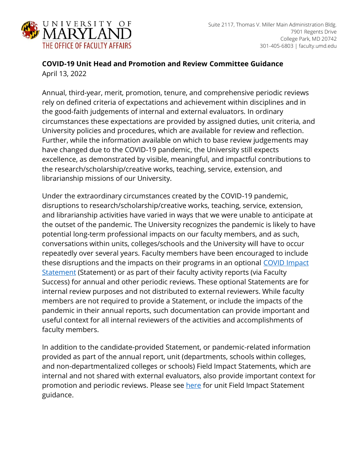

## **COVID-19 Unit Head and Promotion and Review Committee Guidance** April 13, 2022

Annual, third-year, merit, promotion, tenure, and comprehensive periodic reviews rely on defined criteria of expectations and achievement within disciplines and in the good-faith judgements of internal and external evaluators. In ordinary circumstances these expectations are provided by assigned duties, unit criteria, and University policies and procedures, which are available for review and reflection. Further, while the information available on which to base review judgements may have changed due to the COVID-19 pandemic, the University still expects excellence, as demonstrated by visible, meaningful, and impactful contributions to the research/scholarship/creative works, teaching, service, extension, and librarianship missions of our University.

Under the extraordinary circumstances created by the COVID-19 pandemic, disruptions to research/scholarship/creative works, teaching, service, extension, and librarianship activities have varied in ways that we were unable to anticipate at the outset of the pandemic. The University recognizes the pandemic is likely to have potential long-term professional impacts on our faculty members, and as such, conversations within units, colleges/schools and the University will have to occur repeatedly over several years. Faculty members have been encouraged to include these disruptions and the impacts on their programs in an optional [COVID Impact](https://faculty.umd.edu/resources/covid-19-impact-statement-guidance)  [Statement](https://faculty.umd.edu/resources/covid-19-impact-statement-guidance) (Statement) or as part of their faculty activity reports (via Faculty Success) for annual and other periodic reviews. These optional Statements are for internal review purposes and not distributed to external reviewers. While faculty members are not required to provide a Statement, or include the impacts of the pandemic in their annual reports, such documentation can provide important and useful context for all internal reviewers of the activities and accomplishments of faculty members.

In addition to the candidate-provided Statement, or pandemic-related information provided as part of the annual report, unit (departments, schools within colleges, and non-departmentalized colleges or schools) Field Impact Statements, which are internal and not shared with external evaluators, also provide important context for promotion and periodic reviews. Please see [here](https://faculty.umd.edu/resources/covid-19-field-impact-statement) for unit Field Impact Statement guidance.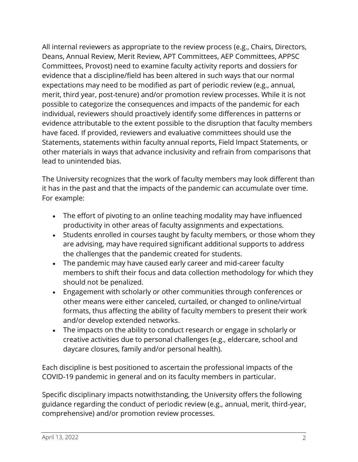All internal reviewers as appropriate to the review process (e.g., Chairs, Directors, Deans, Annual Review, Merit Review, APT Committees, AEP Committees, APPSC Committees, Provost) need to examine faculty activity reports and dossiers for evidence that a discipline/field has been altered in such ways that our normal expectations may need to be modified as part of periodic review (e.g., annual, merit, third year, post-tenure) and/or promotion review processes. While it is not possible to categorize the consequences and impacts of the pandemic for each individual, reviewers should proactively identify some differences in patterns or evidence attributable to the extent possible to the disruption that faculty members have faced. If provided, reviewers and evaluative committees should use the Statements, statements within faculty annual reports, Field Impact Statements, or other materials in ways that advance inclusivity and refrain from comparisons that lead to unintended bias.

The University recognizes that the work of faculty members may look different than it has in the past and that the impacts of the pandemic can accumulate over time. For example:

- The effort of pivoting to an online teaching modality may have influenced productivity in other areas of faculty assignments and expectations.
- Students enrolled in courses taught by faculty members, or those whom they are advising, may have required significant additional supports to address the challenges that the pandemic created for students.
- The pandemic may have caused early career and mid-career faculty members to shift their focus and data collection methodology for which they should not be penalized.
- Engagement with scholarly or other communities through conferences or other means were either canceled, curtailed, or changed to online/virtual formats, thus affecting the ability of faculty members to present their work and/or develop extended networks.
- The impacts on the ability to conduct research or engage in scholarly or creative activities due to personal challenges (e.g., eldercare, school and daycare closures, family and/or personal health).

Each discipline is best positioned to ascertain the professional impacts of the COVID-19 pandemic in general and on its faculty members in particular.

Specific disciplinary impacts notwithstanding, the University offers the following guidance regarding the conduct of periodic review (e.g., annual, merit, third-year, comprehensive) and/or promotion review processes.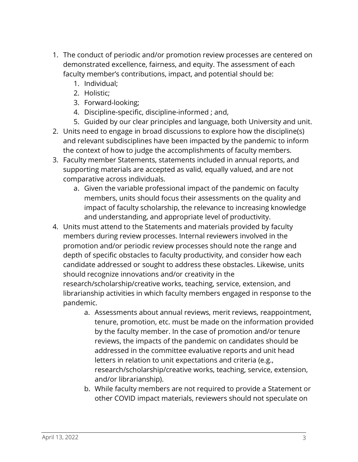- 1. The conduct of periodic and/or promotion review processes are centered on demonstrated excellence, fairness, and equity. The assessment of each faculty member's contributions, impact, and potential should be:
	- 1. Individual;
	- 2. Holistic;
	- 3. Forward-looking;
	- 4. Discipline-specific, discipline-informed ; and,
	- 5. Guided by our clear principles and language, both University and unit.
- 2. Units need to engage in broad discussions to explore how the discipline(s) and relevant subdisciplines have been impacted by the pandemic to inform the context of how to judge the accomplishments of faculty members.
- 3. Faculty member Statements, statements included in annual reports, and supporting materials are accepted as valid, equally valued, and are not comparative across individuals.
	- a. Given the variable professional impact of the pandemic on faculty members, units should focus their assessments on the quality and impact of faculty scholarship, the relevance to increasing knowledge and understanding, and appropriate level of productivity.
- 4. Units must attend to the Statements and materials provided by faculty members during review processes. Internal reviewers involved in the promotion and/or periodic review processes should note the range and depth of specific obstacles to faculty productivity, and consider how each candidate addressed or sought to address these obstacles. Likewise, units should recognize innovations and/or creativity in the research/scholarship/creative works, teaching, service, extension, and librarianship activities in which faculty members engaged in response to the pandemic.
	- a. Assessments about annual reviews, merit reviews, reappointment, tenure, promotion, etc. must be made on the information provided by the faculty member. In the case of promotion and/or tenure reviews, the impacts of the pandemic on candidates should be addressed in the committee evaluative reports and unit head letters in relation to unit expectations and criteria (e.g., research/scholarship/creative works, teaching, service, extension, and/or librarianship).
	- b. While faculty members are not required to provide a Statement or other COVID impact materials, reviewers should not speculate on